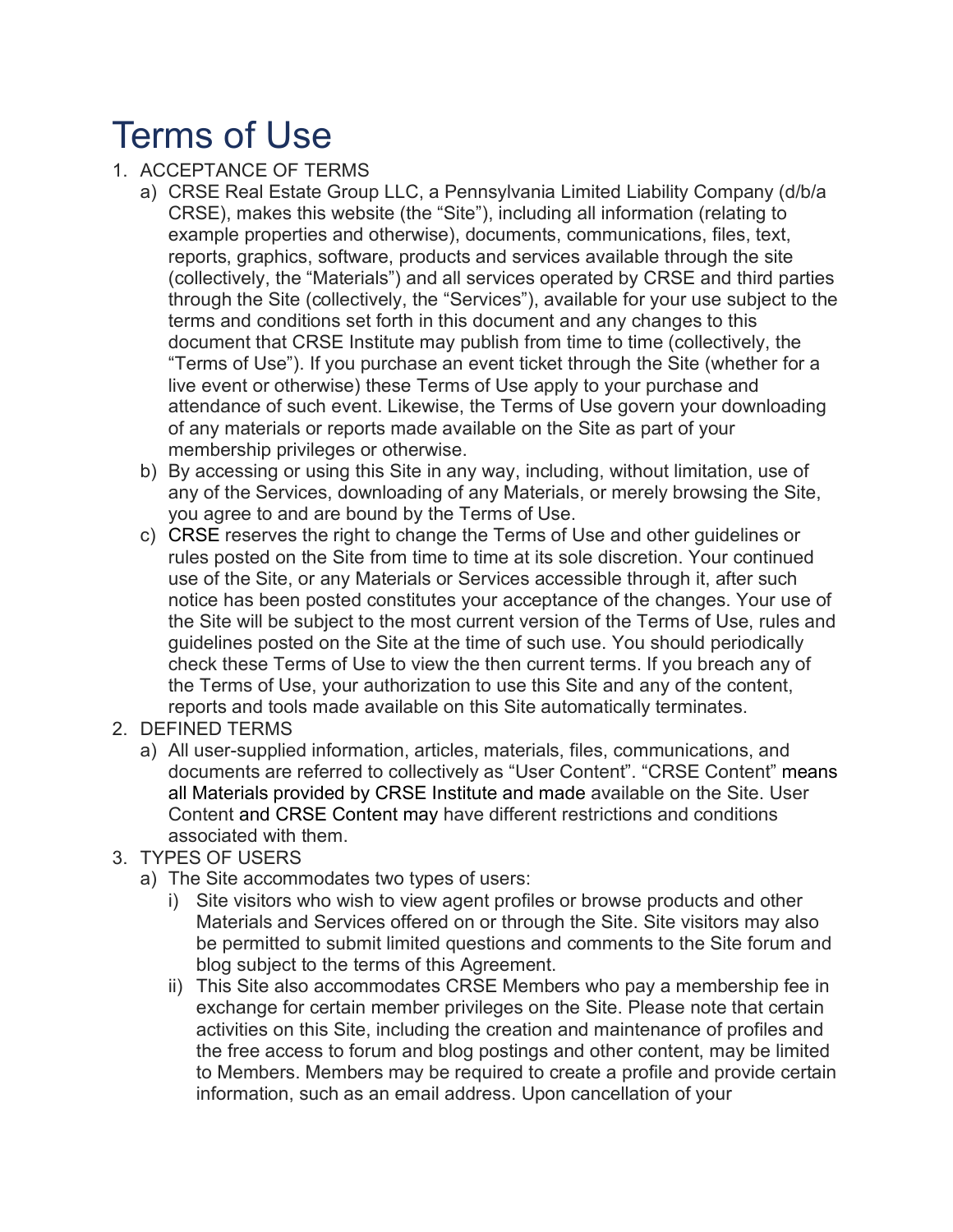# Terms of Use

### 1. ACCEPTANCE OF TERMS

- a) CRSE Real Estate Group LLC, a Pennsylvania Limited Liability Company (d/b/a CRSE), makes this website (the "Site"), including all information (relating to example properties and otherwise), documents, communications, files, text, reports, graphics, software, products and services available through the site (collectively, the "Materials") and all services operated by CRSE and third parties through the Site (collectively, the "Services"), available for your use subject to the terms and conditions set forth in this document and any changes to this document that CRSE Institute may publish from time to time (collectively, the "Terms of Use"). If you purchase an event ticket through the Site (whether for a live event or otherwise) these Terms of Use apply to your purchase and attendance of such event. Likewise, the Terms of Use govern your downloading of any materials or reports made available on the Site as part of your membership privileges or otherwise.
- b) By accessing or using this Site in any way, including, without limitation, use of any of the Services, downloading of any Materials, or merely browsing the Site, you agree to and are bound by the Terms of Use.
- c) CRSE reserves the right to change the Terms of Use and other guidelines or rules posted on the Site from time to time at its sole discretion. Your continued use of the Site, or any Materials or Services accessible through it, after such notice has been posted constitutes your acceptance of the changes. Your use of the Site will be subject to the most current version of the Terms of Use, rules and guidelines posted on the Site at the time of such use. You should periodically check these Terms of Use to view the then current terms. If you breach any of the Terms of Use, your authorization to use this Site and any of the content, reports and tools made available on this Site automatically terminates.
- 2. DEFINED TERMS
	- a) All user-supplied information, articles, materials, files, communications, and documents are referred to collectively as "User Content". "CRSE Content" means all Materials provided by CRSE Institute and made available on the Site. User Content and CRSE Content may have different restrictions and conditions associated with them.
- 3. TYPES OF USERS
	- a) The Site accommodates two types of users:
		- i) Site visitors who wish to view agent profiles or browse products and other Materials and Services offered on or through the Site. Site visitors may also be permitted to submit limited questions and comments to the Site forum and blog subject to the terms of this Agreement.
		- ii) This Site also accommodates CRSE Members who pay a membership fee in exchange for certain member privileges on the Site. Please note that certain activities on this Site, including the creation and maintenance of profiles and the free access to forum and blog postings and other content, may be limited to Members. Members may be required to create a profile and provide certain information, such as an email address. Upon cancellation of your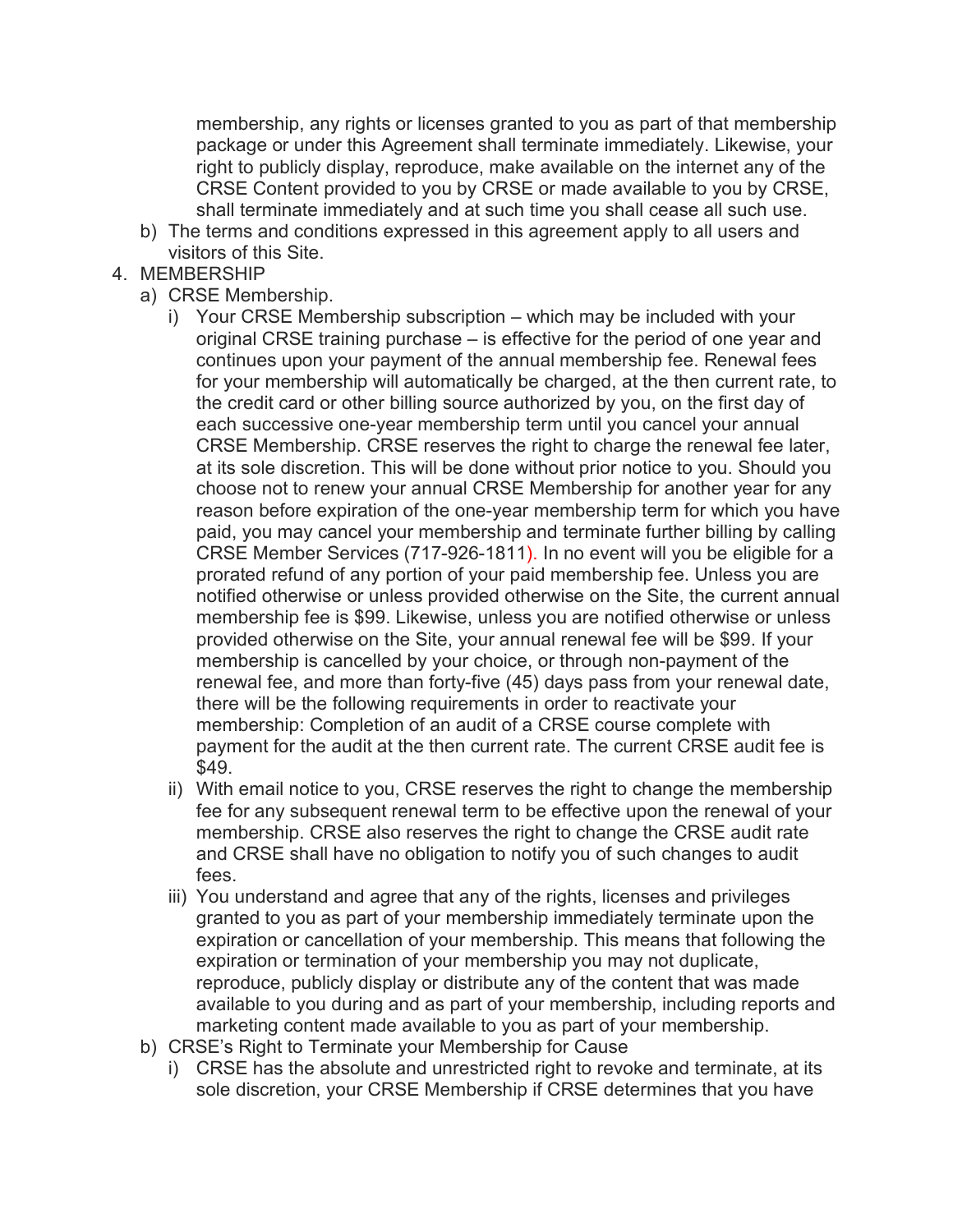membership, any rights or licenses granted to you as part of that membership package or under this Agreement shall terminate immediately. Likewise, your right to publicly display, reproduce, make available on the internet any of the CRSE Content provided to you by CRSE or made available to you by CRSE, shall terminate immediately and at such time you shall cease all such use.

- b) The terms and conditions expressed in this agreement apply to all users and visitors of this Site.
- 4. MEMBERSHIP
	- a) CRSE Membership.
		- i) Your CRSE Membership subscription which may be included with your original CRSE training purchase – is effective for the period of one year and continues upon your payment of the annual membership fee. Renewal fees for your membership will automatically be charged, at the then current rate, to the credit card or other billing source authorized by you, on the first day of each successive one-year membership term until you cancel your annual CRSE Membership. CRSE reserves the right to charge the renewal fee later, at its sole discretion. This will be done without prior notice to you. Should you choose not to renew your annual CRSE Membership for another year for any reason before expiration of the one-year membership term for which you have paid, you may cancel your membership and terminate further billing by calling CRSE Member Services (717-926-1811). In no event will you be eligible for a prorated refund of any portion of your paid membership fee. Unless you are notified otherwise or unless provided otherwise on the Site, the current annual membership fee is \$99. Likewise, unless you are notified otherwise or unless provided otherwise on the Site, your annual renewal fee will be \$99. If your membership is cancelled by your choice, or through non-payment of the renewal fee, and more than forty-five (45) days pass from your renewal date, there will be the following requirements in order to reactivate your membership: Completion of an audit of a CRSE course complete with payment for the audit at the then current rate. The current CRSE audit fee is \$49.
		- ii) With email notice to you, CRSE reserves the right to change the membership fee for any subsequent renewal term to be effective upon the renewal of your membership. CRSE also reserves the right to change the CRSE audit rate and CRSE shall have no obligation to notify you of such changes to audit fees.
		- iii) You understand and agree that any of the rights, licenses and privileges granted to you as part of your membership immediately terminate upon the expiration or cancellation of your membership. This means that following the expiration or termination of your membership you may not duplicate, reproduce, publicly display or distribute any of the content that was made available to you during and as part of your membership, including reports and marketing content made available to you as part of your membership.
	- b) CRSE's Right to Terminate your Membership for Cause
		- i) CRSE has the absolute and unrestricted right to revoke and terminate, at its sole discretion, your CRSE Membership if CRSE determines that you have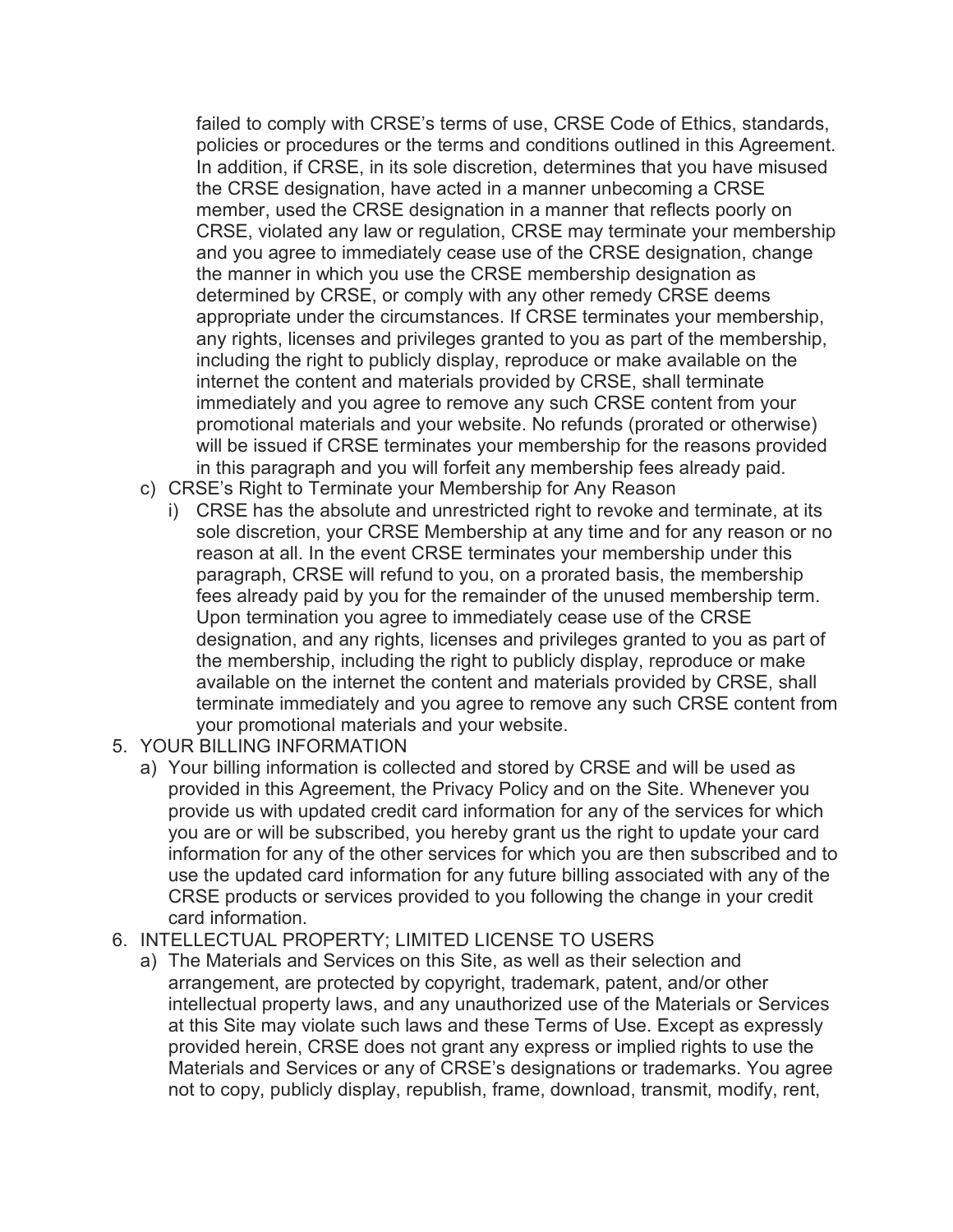failed to comply with CRSE's terms of use, CRSE Code of Ethics, standards, policies or procedures or the terms and conditions outlined in this Agreement. In addition, if CRSE, in its sole discretion, determines that you have misused the CRSE designation, have acted in a manner unbecoming a CRSE member, used the CRSE designation in a manner that reflects poorly on CRSE, violated any law or regulation, CRSE may terminate your membership and you agree to immediately cease use of the CRSE designation, change the manner in which you use the CRSE membership designation as determined by CRSE, or comply with any other remedy CRSE deems appropriate under the circumstances. If CRSE terminates your membership, any rights, licenses and privileges granted to you as part of the membership, including the right to publicly display, reproduce or make available on the internet the content and materials provided by CRSE, shall terminate immediately and you agree to remove any such CRSE content from your promotional materials and your website. No refunds (prorated or otherwise) will be issued if CRSE terminates your membership for the reasons provided in this paragraph and you will forfeit any membership fees already paid.

- c) CRSE's Right to Terminate your Membership for Any Reason
	- i) CRSE has the absolute and unrestricted right to revoke and terminate, at its sole discretion, your CRSE Membership at any time and for any reason or no reason at all. In the event CRSE terminates your membership under this paragraph, CRSE will refund to you, on a prorated basis, the membership fees already paid by you for the remainder of the unused membership term. Upon termination you agree to immediately cease use of the CRSE designation, and any rights, licenses and privileges granted to you as part of the membership, including the right to publicly display, reproduce or make available on the internet the content and materials provided by CRSE, shall terminate immediately and you agree to remove any such CRSE content from your promotional materials and your website.
- 5. YOUR BILLING INFORMATION
	- a) Your billing information is collected and stored by CRSE and will be used as provided in this Agreement, the Privacy Policy and on the Site. Whenever you provide us with updated credit card information for any of the services for which you are or will be subscribed, you hereby grant us the right to update your card information for any of the other services for which you are then subscribed and to use the updated card information for any future billing associated with any of the CRSE products or services provided to you following the change in your credit card information.

#### 6. INTELLECTUAL PROPERTY; LIMITED LICENSE TO USERS

a) The Materials and Services on this Site, as well as their selection and arrangement, are protected by copyright, trademark, patent, and/or other intellectual property laws, and any unauthorized use of the Materials or Services at this Site may violate such laws and these Terms of Use. Except as expressly provided herein, CRSE does not grant any express or implied rights to use the Materials and Services or any of CRSE's designations or trademarks. You agree not to copy, publicly display, republish, frame, download, transmit, modify, rent,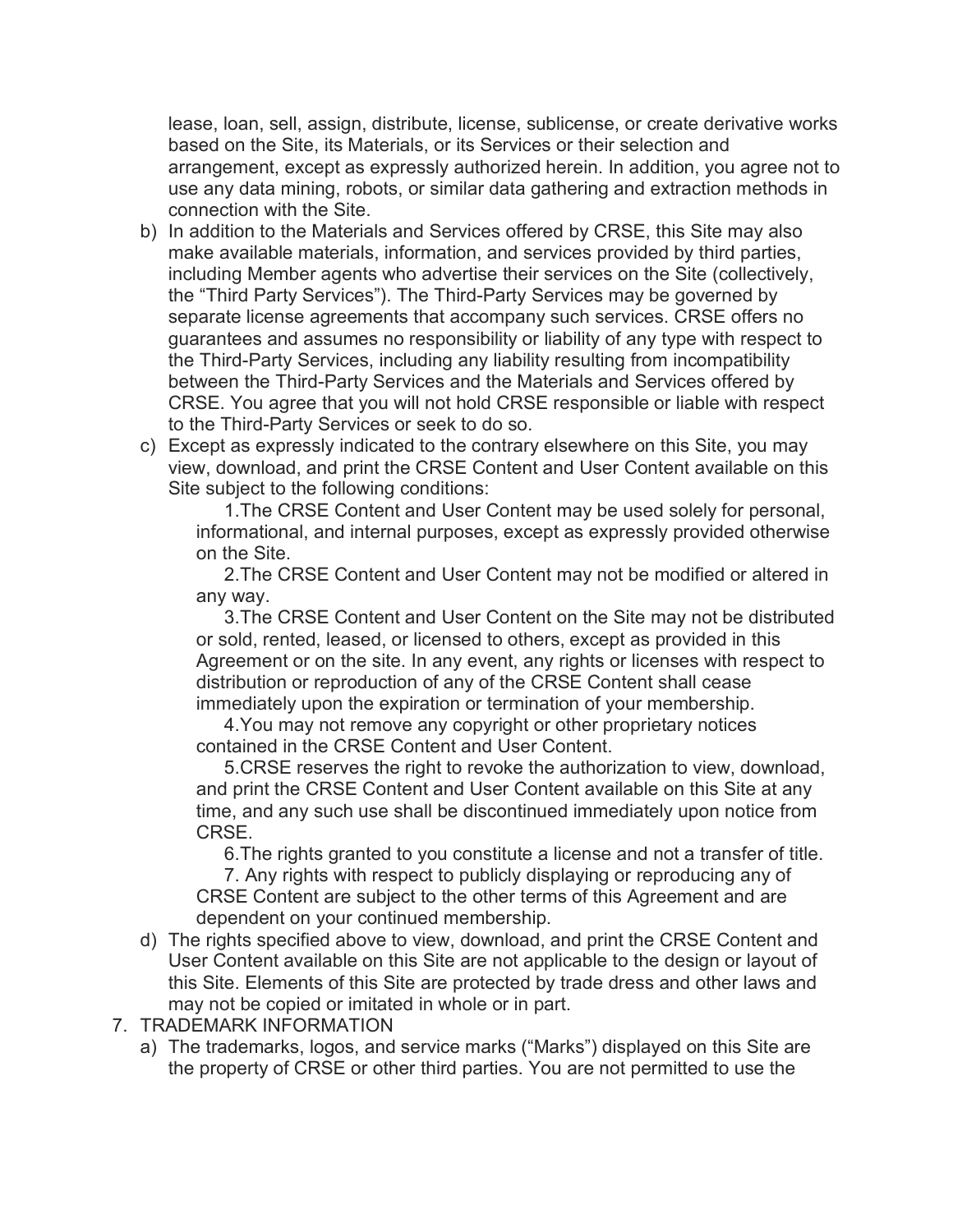lease, loan, sell, assign, distribute, license, sublicense, or create derivative works based on the Site, its Materials, or its Services or their selection and arrangement, except as expressly authorized herein. In addition, you agree not to use any data mining, robots, or similar data gathering and extraction methods in connection with the Site.

- b) In addition to the Materials and Services offered by CRSE, this Site may also make available materials, information, and services provided by third parties, including Member agents who advertise their services on the Site (collectively, the "Third Party Services"). The Third-Party Services may be governed by separate license agreements that accompany such services. CRSE offers no guarantees and assumes no responsibility or liability of any type with respect to the Third-Party Services, including any liability resulting from incompatibility between the Third-Party Services and the Materials and Services offered by CRSE. You agree that you will not hold CRSE responsible or liable with respect to the Third-Party Services or seek to do so.
- c) Except as expressly indicated to the contrary elsewhere on this Site, you may view, download, and print the CRSE Content and User Content available on this Site subject to the following conditions:

1.The CRSE Content and User Content may be used solely for personal, informational, and internal purposes, except as expressly provided otherwise on the Site.

2.The CRSE Content and User Content may not be modified or altered in any way.

3.The CRSE Content and User Content on the Site may not be distributed or sold, rented, leased, or licensed to others, except as provided in this Agreement or on the site. In any event, any rights or licenses with respect to distribution or reproduction of any of the CRSE Content shall cease immediately upon the expiration or termination of your membership.

4.You may not remove any copyright or other proprietary notices contained in the CRSE Content and User Content.

5.CRSE reserves the right to revoke the authorization to view, download, and print the CRSE Content and User Content available on this Site at any time, and any such use shall be discontinued immediately upon notice from CRSE.

6.The rights granted to you constitute a license and not a transfer of title.

7. Any rights with respect to publicly displaying or reproducing any of CRSE Content are subject to the other terms of this Agreement and are dependent on your continued membership.

- d) The rights specified above to view, download, and print the CRSE Content and User Content available on this Site are not applicable to the design or layout of this Site. Elements of this Site are protected by trade dress and other laws and may not be copied or imitated in whole or in part.
- 7. TRADEMARK INFORMATION
	- a) The trademarks, logos, and service marks ("Marks") displayed on this Site are the property of CRSE or other third parties. You are not permitted to use the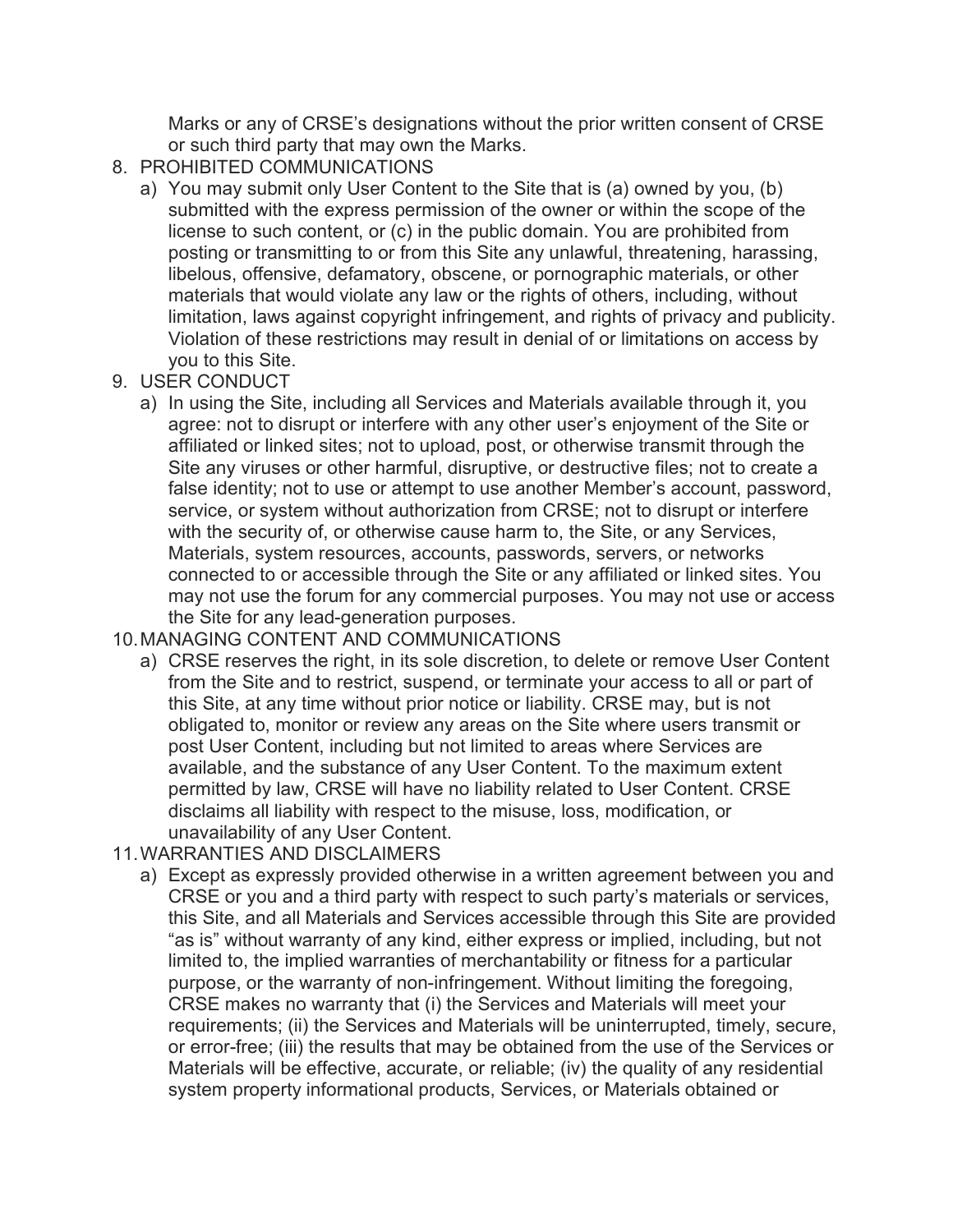Marks or any of CRSE's designations without the prior written consent of CRSE or such third party that may own the Marks.

- 8. PROHIBITED COMMUNICATIONS
	- a) You may submit only User Content to the Site that is (a) owned by you, (b) submitted with the express permission of the owner or within the scope of the license to such content, or (c) in the public domain. You are prohibited from posting or transmitting to or from this Site any unlawful, threatening, harassing, libelous, offensive, defamatory, obscene, or pornographic materials, or other materials that would violate any law or the rights of others, including, without limitation, laws against copyright infringement, and rights of privacy and publicity. Violation of these restrictions may result in denial of or limitations on access by you to this Site.
- 9. USER CONDUCT
	- a) In using the Site, including all Services and Materials available through it, you agree: not to disrupt or interfere with any other user's enjoyment of the Site or affiliated or linked sites; not to upload, post, or otherwise transmit through the Site any viruses or other harmful, disruptive, or destructive files; not to create a false identity; not to use or attempt to use another Member's account, password, service, or system without authorization from CRSE; not to disrupt or interfere with the security of, or otherwise cause harm to, the Site, or any Services, Materials, system resources, accounts, passwords, servers, or networks connected to or accessible through the Site or any affiliated or linked sites. You may not use the forum for any commercial purposes. You may not use or access the Site for any lead-generation purposes.

### 10.MANAGING CONTENT AND COMMUNICATIONS

- a) CRSE reserves the right, in its sole discretion, to delete or remove User Content from the Site and to restrict, suspend, or terminate your access to all or part of this Site, at any time without prior notice or liability. CRSE may, but is not obligated to, monitor or review any areas on the Site where users transmit or post User Content, including but not limited to areas where Services are available, and the substance of any User Content. To the maximum extent permitted by law, CRSE will have no liability related to User Content. CRSE disclaims all liability with respect to the misuse, loss, modification, or unavailability of any User Content.
- 11.WARRANTIES AND DISCLAIMERS
	- a) Except as expressly provided otherwise in a written agreement between you and CRSE or you and a third party with respect to such party's materials or services, this Site, and all Materials and Services accessible through this Site are provided "as is" without warranty of any kind, either express or implied, including, but not limited to, the implied warranties of merchantability or fitness for a particular purpose, or the warranty of non-infringement. Without limiting the foregoing, CRSE makes no warranty that (i) the Services and Materials will meet your requirements; (ii) the Services and Materials will be uninterrupted, timely, secure, or error-free; (iii) the results that may be obtained from the use of the Services or Materials will be effective, accurate, or reliable; (iv) the quality of any residential system property informational products, Services, or Materials obtained or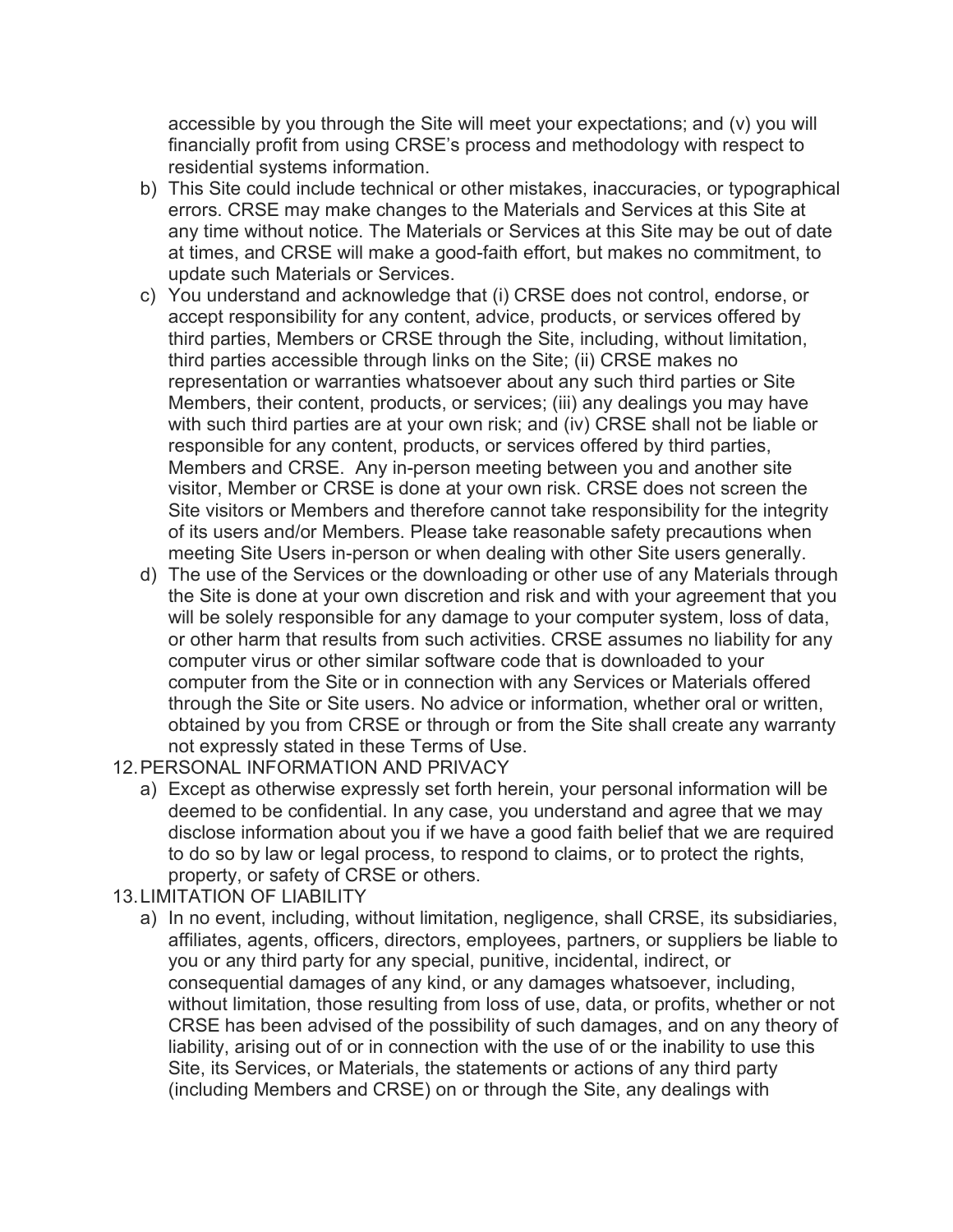accessible by you through the Site will meet your expectations; and (v) you will financially profit from using CRSE's process and methodology with respect to residential systems information.

- b) This Site could include technical or other mistakes, inaccuracies, or typographical errors. CRSE may make changes to the Materials and Services at this Site at any time without notice. The Materials or Services at this Site may be out of date at times, and CRSE will make a good-faith effort, but makes no commitment, to update such Materials or Services.
- c) You understand and acknowledge that (i) CRSE does not control, endorse, or accept responsibility for any content, advice, products, or services offered by third parties, Members or CRSE through the Site, including, without limitation, third parties accessible through links on the Site; (ii) CRSE makes no representation or warranties whatsoever about any such third parties or Site Members, their content, products, or services; (iii) any dealings you may have with such third parties are at your own risk; and (iv) CRSE shall not be liable or responsible for any content, products, or services offered by third parties, Members and CRSE. Any in-person meeting between you and another site visitor, Member or CRSE is done at your own risk. CRSE does not screen the Site visitors or Members and therefore cannot take responsibility for the integrity of its users and/or Members. Please take reasonable safety precautions when meeting Site Users in-person or when dealing with other Site users generally.
- d) The use of the Services or the downloading or other use of any Materials through the Site is done at your own discretion and risk and with your agreement that you will be solely responsible for any damage to your computer system, loss of data, or other harm that results from such activities. CRSE assumes no liability for any computer virus or other similar software code that is downloaded to your computer from the Site or in connection with any Services or Materials offered through the Site or Site users. No advice or information, whether oral or written, obtained by you from CRSE or through or from the Site shall create any warranty not expressly stated in these Terms of Use.
- 12.PERSONAL INFORMATION AND PRIVACY
	- a) Except as otherwise expressly set forth herein, your personal information will be deemed to be confidential. In any case, you understand and agree that we may disclose information about you if we have a good faith belief that we are required to do so by law or legal process, to respond to claims, or to protect the rights, property, or safety of CRSE or others.
- 13.LIMITATION OF LIABILITY
	- a) In no event, including, without limitation, negligence, shall CRSE, its subsidiaries, affiliates, agents, officers, directors, employees, partners, or suppliers be liable to you or any third party for any special, punitive, incidental, indirect, or consequential damages of any kind, or any damages whatsoever, including, without limitation, those resulting from loss of use, data, or profits, whether or not CRSE has been advised of the possibility of such damages, and on any theory of liability, arising out of or in connection with the use of or the inability to use this Site, its Services, or Materials, the statements or actions of any third party (including Members and CRSE) on or through the Site, any dealings with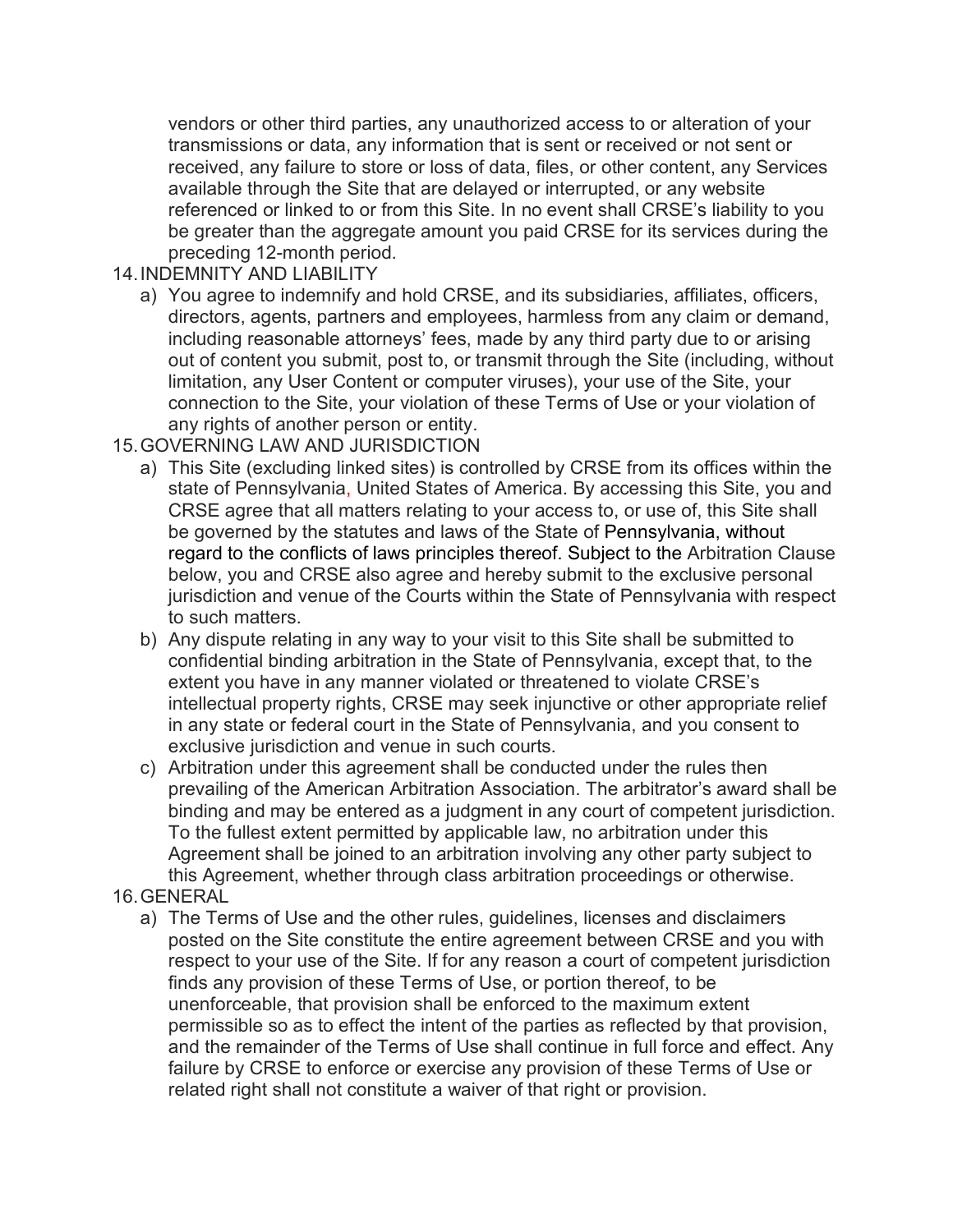vendors or other third parties, any unauthorized access to or alteration of your transmissions or data, any information that is sent or received or not sent or received, any failure to store or loss of data, files, or other content, any Services available through the Site that are delayed or interrupted, or any website referenced or linked to or from this Site. In no event shall CRSE's liability to you be greater than the aggregate amount you paid CRSE for its services during the preceding 12-month period.

#### 14.INDEMNITY AND LIABILITY

a) You agree to indemnify and hold CRSE, and its subsidiaries, affiliates, officers, directors, agents, partners and employees, harmless from any claim or demand, including reasonable attorneys' fees, made by any third party due to or arising out of content you submit, post to, or transmit through the Site (including, without limitation, any User Content or computer viruses), your use of the Site, your connection to the Site, your violation of these Terms of Use or your violation of any rights of another person or entity.

### 15.GOVERNING LAW AND JURISDICTION

- a) This Site (excluding linked sites) is controlled by CRSE from its offices within the state of Pennsylvania, United States of America. By accessing this Site, you and CRSE agree that all matters relating to your access to, or use of, this Site shall be governed by the statutes and laws of the State of Pennsylvania, without regard to the conflicts of laws principles thereof. Subject to the Arbitration Clause below, you and CRSE also agree and hereby submit to the exclusive personal jurisdiction and venue of the Courts within the State of Pennsylvania with respect to such matters.
- b) Any dispute relating in any way to your visit to this Site shall be submitted to confidential binding arbitration in the State of Pennsylvania, except that, to the extent you have in any manner violated or threatened to violate CRSE's intellectual property rights, CRSE may seek injunctive or other appropriate relief in any state or federal court in the State of Pennsylvania, and you consent to exclusive jurisdiction and venue in such courts.
- c) Arbitration under this agreement shall be conducted under the rules then prevailing of the American Arbitration Association. The arbitrator's award shall be binding and may be entered as a judgment in any court of competent jurisdiction. To the fullest extent permitted by applicable law, no arbitration under this Agreement shall be joined to an arbitration involving any other party subject to this Agreement, whether through class arbitration proceedings or otherwise.
- 16.GENERAL
	- a) The Terms of Use and the other rules, guidelines, licenses and disclaimers posted on the Site constitute the entire agreement between CRSE and you with respect to your use of the Site. If for any reason a court of competent jurisdiction finds any provision of these Terms of Use, or portion thereof, to be unenforceable, that provision shall be enforced to the maximum extent permissible so as to effect the intent of the parties as reflected by that provision, and the remainder of the Terms of Use shall continue in full force and effect. Any failure by CRSE to enforce or exercise any provision of these Terms of Use or related right shall not constitute a waiver of that right or provision.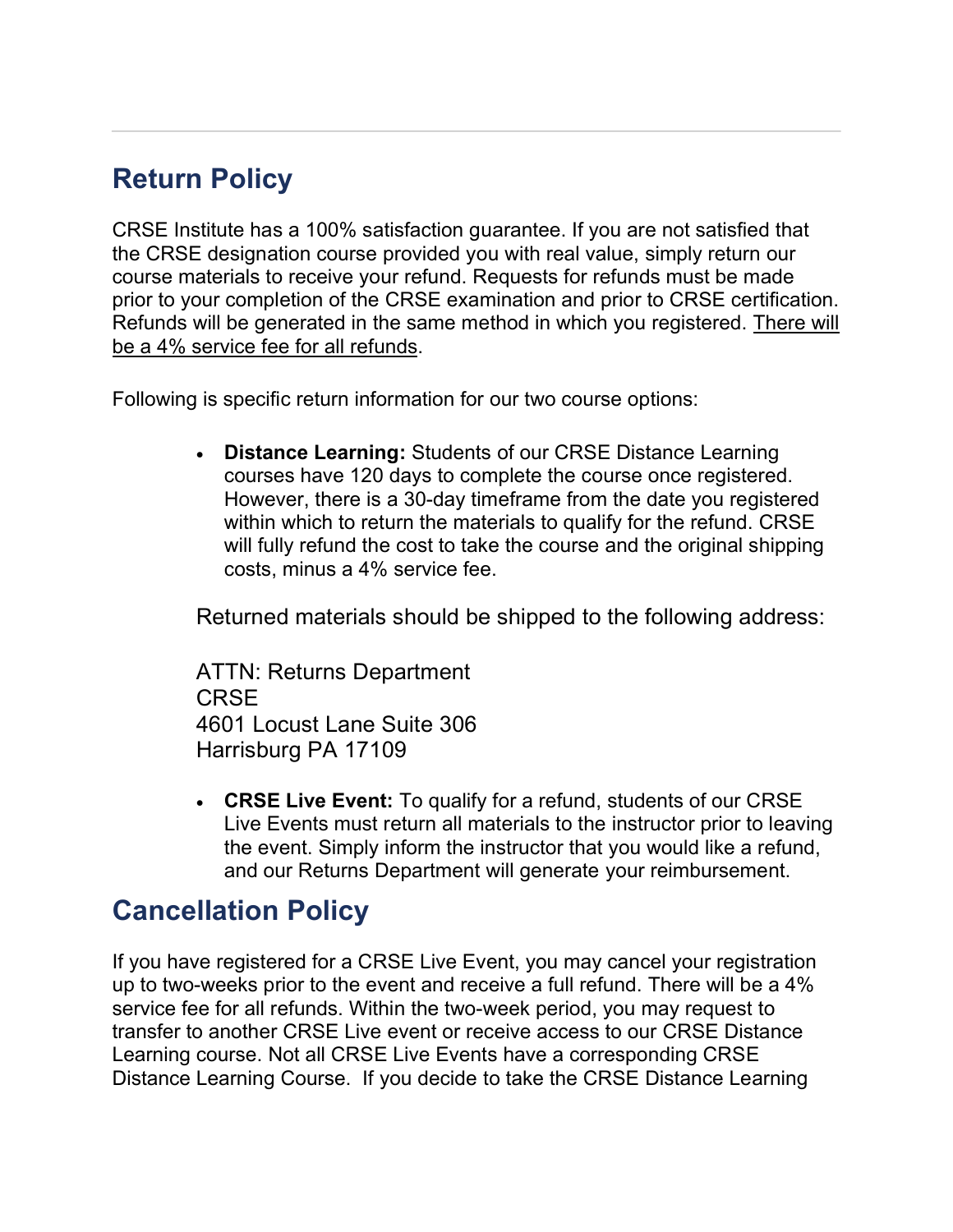# **Return Policy**

CRSE Institute has a 100% satisfaction guarantee. If you are not satisfied that the CRSE designation course provided you with real value, simply return our course materials to receive your refund. Requests for refunds must be made prior to your completion of the CRSE examination and prior to CRSE certification. Refunds will be generated in the same method in which you registered. There will be a 4% service fee for all refunds.

Following is specific return information for our two course options:

• **Distance Learning:** Students of our CRSE Distance Learning courses have 120 days to complete the course once registered. However, there is a 30-day timeframe from the date you registered within which to return the materials to qualify for the refund. CRSE will fully refund the cost to take the course and the original shipping costs, minus a 4% service fee.

Returned materials should be shipped to the following address:

ATTN: Returns Department CRSE 4601 Locust Lane Suite 306 Harrisburg PA 17109

• **CRSE Live Event:** To qualify for a refund, students of our CRSE Live Events must return all materials to the instructor prior to leaving the event. Simply inform the instructor that you would like a refund, and our Returns Department will generate your reimbursement.

### **Cancellation Policy**

If you have registered for a CRSE Live Event, you may cancel your registration up to two-weeks prior to the event and receive a full refund. There will be a 4% service fee for all refunds. Within the two-week period, you may request to transfer to another CRSE Live event or receive access to our CRSE Distance Learning course. Not all CRSE Live Events have a corresponding CRSE Distance Learning Course. If you decide to take the CRSE Distance Learning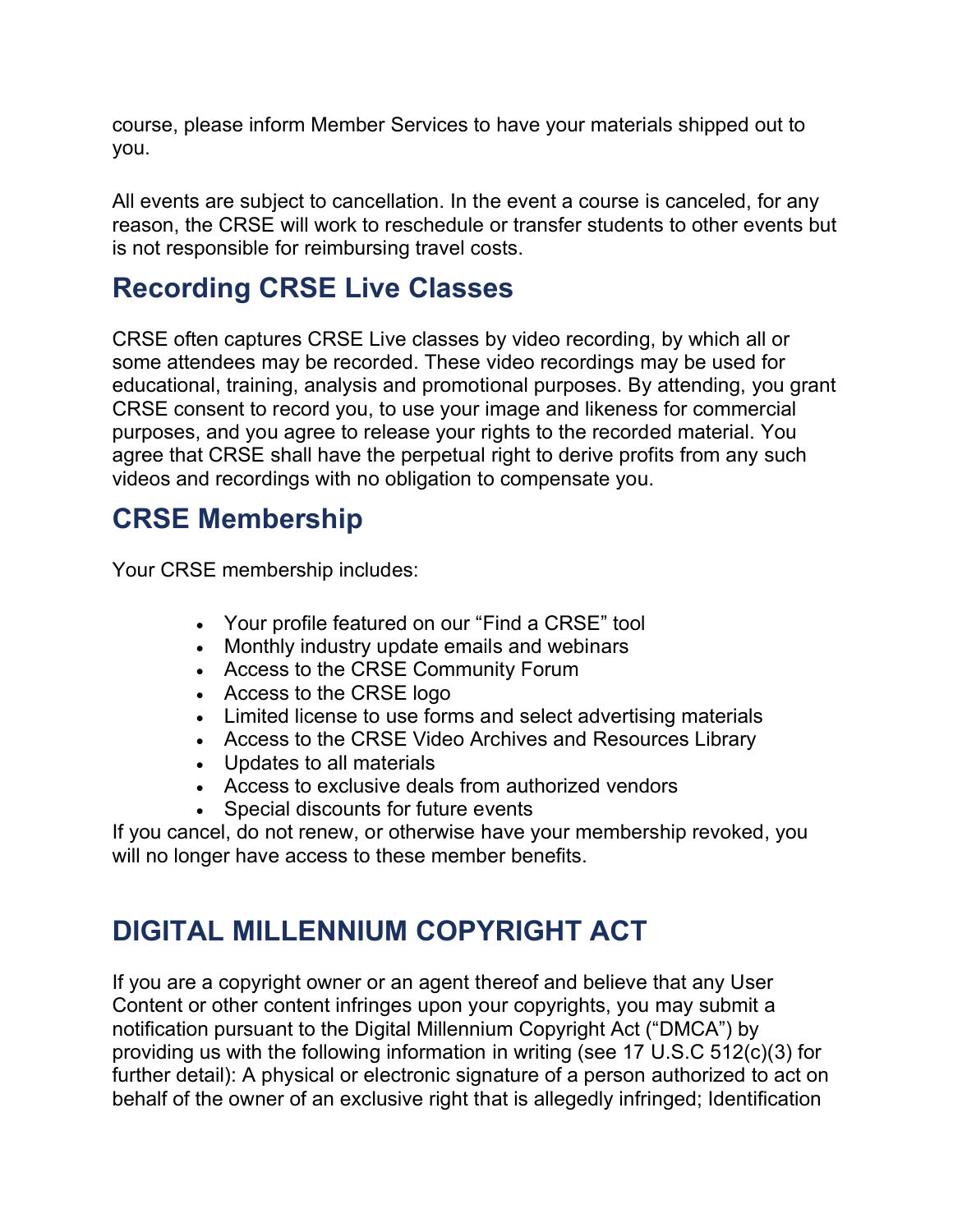course, please inform Member Services to have your materials shipped out to you.

All events are subject to cancellation. In the event a course is canceled, for any reason, the CRSE will work to reschedule or transfer students to other events but is not responsible for reimbursing travel costs.

## **Recording CRSE Live Classes**

CRSE often captures CRSE Live classes by video recording, by which all or some attendees may be recorded. These video recordings may be used for educational, training, analysis and promotional purposes. By attending, you grant CRSE consent to record you, to use your image and likeness for commercial purposes, and you agree to release your rights to the recorded material. You agree that CRSE shall have the perpetual right to derive profits from any such videos and recordings with no obligation to compensate you.

### **CRSE Membership**

Your CRSE membership includes:

- Your profile featured on our "Find a CRSE" tool
- Monthly industry update emails and webinars
- Access to the CRSE Community Forum
- Access to the CRSE logo
- Limited license to use forms and select advertising materials
- Access to the CRSE Video Archives and Resources Library
- Updates to all materials
- Access to exclusive deals from authorized vendors
- Special discounts for future events

If you cancel, do not renew, or otherwise have your membership revoked, you will no longer have access to these member benefits.

# **DIGITAL MILLENNIUM COPYRIGHT ACT**

If you are a copyright owner or an agent thereof and believe that any User Content or other content infringes upon your copyrights, you may submit a notification pursuant to the Digital Millennium Copyright Act ("DMCA") by providing us with the following information in writing (see 17 U.S.C 512(c)(3) for further detail): A physical or electronic signature of a person authorized to act on behalf of the owner of an exclusive right that is allegedly infringed; Identification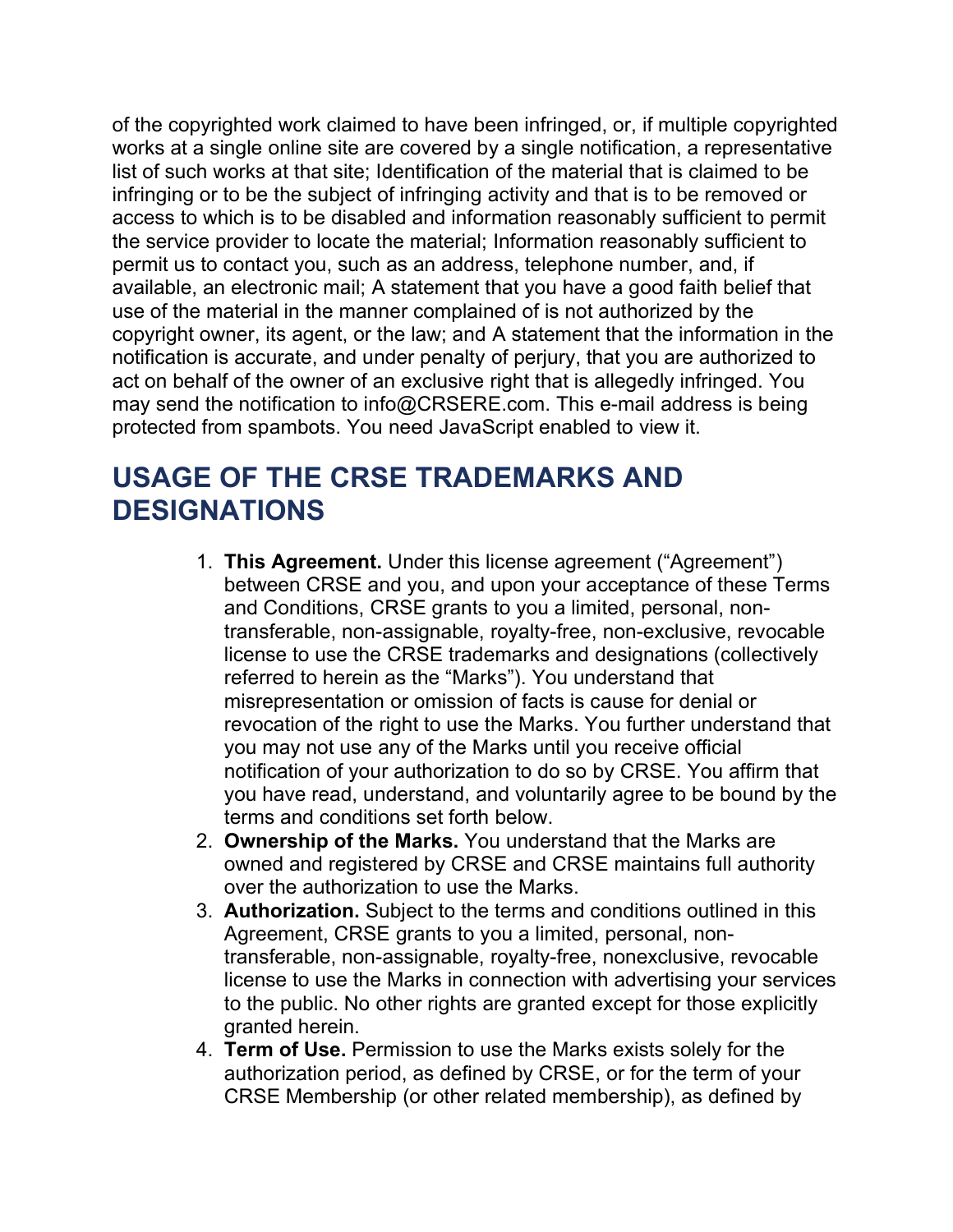of the copyrighted work claimed to have been infringed, or, if multiple copyrighted works at a single online site are covered by a single notification, a representative list of such works at that site; Identification of the material that is claimed to be infringing or to be the subject of infringing activity and that is to be removed or access to which is to be disabled and information reasonably sufficient to permit the service provider to locate the material; Information reasonably sufficient to permit us to contact you, such as an address, telephone number, and, if available, an electronic mail; A statement that you have a good faith belief that use of the material in the manner complained of is not authorized by the copyright owner, its agent, or the law; and A statement that the information in the notification is accurate, and under penalty of perjury, that you are authorized to act on behalf of the owner of an exclusive right that is allegedly infringed. You may send the notification to info@CRSERE.com. This e-mail address is being protected from spambots. You need JavaScript enabled to view it.

# **USAGE OF THE CRSE TRADEMARKS AND DESIGNATIONS**

- 1. **This Agreement.** Under this license agreement ("Agreement") between CRSE and you, and upon your acceptance of these Terms and Conditions, CRSE grants to you a limited, personal, nontransferable, non-assignable, royalty-free, non-exclusive, revocable license to use the CRSE trademarks and designations (collectively referred to herein as the "Marks"). You understand that misrepresentation or omission of facts is cause for denial or revocation of the right to use the Marks. You further understand that you may not use any of the Marks until you receive official notification of your authorization to do so by CRSE. You affirm that you have read, understand, and voluntarily agree to be bound by the terms and conditions set forth below.
- 2. **Ownership of the Marks.** You understand that the Marks are owned and registered by CRSE and CRSE maintains full authority over the authorization to use the Marks.
- 3. **Authorization.** Subject to the terms and conditions outlined in this Agreement, CRSE grants to you a limited, personal, nontransferable, non-assignable, royalty-free, nonexclusive, revocable license to use the Marks in connection with advertising your services to the public. No other rights are granted except for those explicitly granted herein.
- 4. **Term of Use.** Permission to use the Marks exists solely for the authorization period, as defined by CRSE, or for the term of your CRSE Membership (or other related membership), as defined by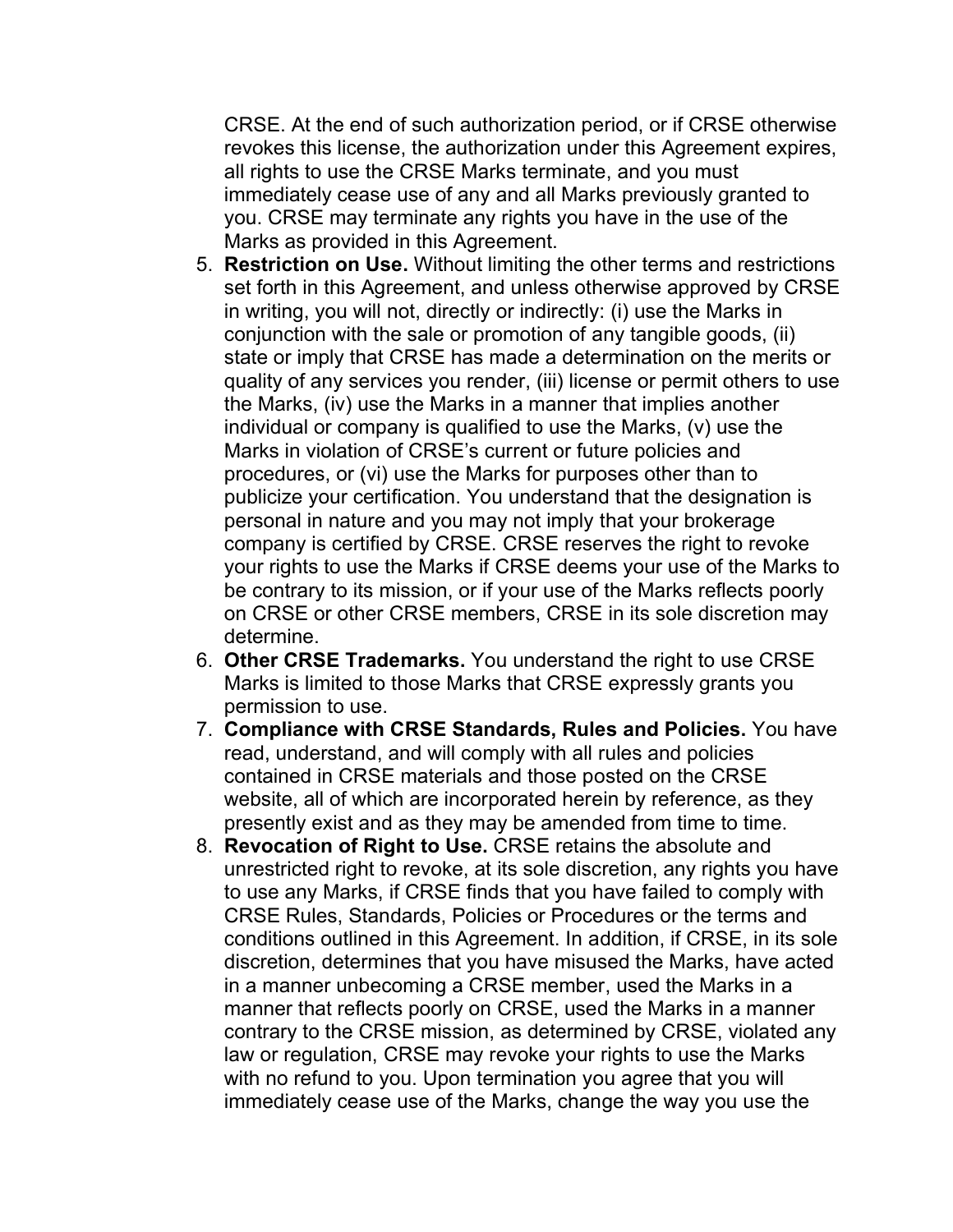CRSE. At the end of such authorization period, or if CRSE otherwise revokes this license, the authorization under this Agreement expires, all rights to use the CRSE Marks terminate, and you must immediately cease use of any and all Marks previously granted to you. CRSE may terminate any rights you have in the use of the Marks as provided in this Agreement.

- 5. **Restriction on Use.** Without limiting the other terms and restrictions set forth in this Agreement, and unless otherwise approved by CRSE in writing, you will not, directly or indirectly: (i) use the Marks in conjunction with the sale or promotion of any tangible goods, (ii) state or imply that CRSE has made a determination on the merits or quality of any services you render, (iii) license or permit others to use the Marks, (iv) use the Marks in a manner that implies another individual or company is qualified to use the Marks, (v) use the Marks in violation of CRSE's current or future policies and procedures, or (vi) use the Marks for purposes other than to publicize your certification. You understand that the designation is personal in nature and you may not imply that your brokerage company is certified by CRSE. CRSE reserves the right to revoke your rights to use the Marks if CRSE deems your use of the Marks to be contrary to its mission, or if your use of the Marks reflects poorly on CRSE or other CRSE members, CRSE in its sole discretion may determine.
- 6. **Other CRSE Trademarks.** You understand the right to use CRSE Marks is limited to those Marks that CRSE expressly grants you permission to use.
- 7. **Compliance with CRSE Standards, Rules and Policies.** You have read, understand, and will comply with all rules and policies contained in CRSE materials and those posted on the CRSE website, all of which are incorporated herein by reference, as they presently exist and as they may be amended from time to time.
- 8. **Revocation of Right to Use.** CRSE retains the absolute and unrestricted right to revoke, at its sole discretion, any rights you have to use any Marks, if CRSE finds that you have failed to comply with CRSE Rules, Standards, Policies or Procedures or the terms and conditions outlined in this Agreement. In addition, if CRSE, in its sole discretion, determines that you have misused the Marks, have acted in a manner unbecoming a CRSE member, used the Marks in a manner that reflects poorly on CRSE, used the Marks in a manner contrary to the CRSE mission, as determined by CRSE, violated any law or regulation, CRSE may revoke your rights to use the Marks with no refund to you. Upon termination you agree that you will immediately cease use of the Marks, change the way you use the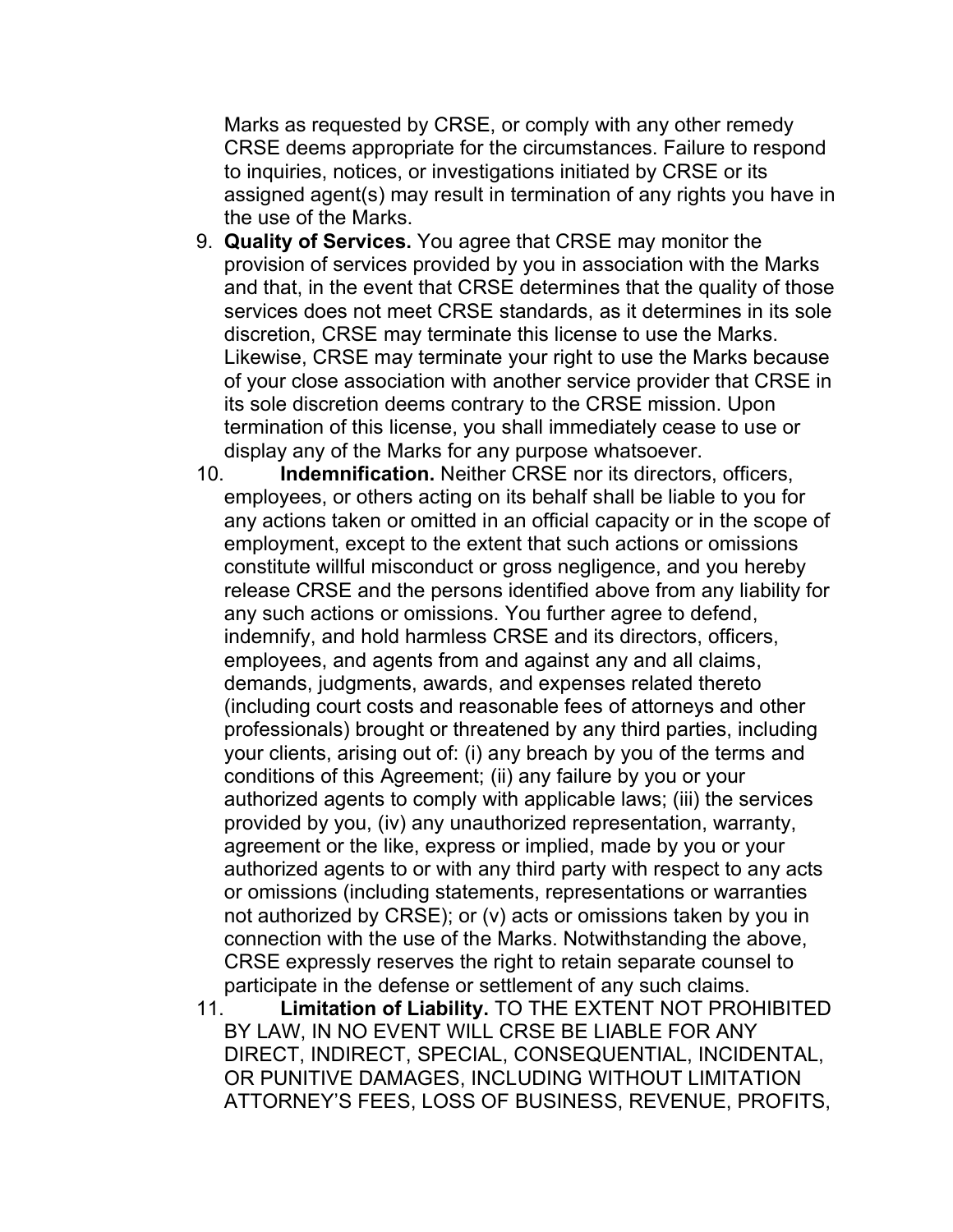Marks as requested by CRSE, or comply with any other remedy CRSE deems appropriate for the circumstances. Failure to respond to inquiries, notices, or investigations initiated by CRSE or its assigned agent(s) may result in termination of any rights you have in the use of the Marks.

- 9. **Quality of Services.** You agree that CRSE may monitor the provision of services provided by you in association with the Marks and that, in the event that CRSE determines that the quality of those services does not meet CRSE standards, as it determines in its sole discretion, CRSE may terminate this license to use the Marks. Likewise, CRSE may terminate your right to use the Marks because of your close association with another service provider that CRSE in its sole discretion deems contrary to the CRSE mission. Upon termination of this license, you shall immediately cease to use or display any of the Marks for any purpose whatsoever.
- 10. **Indemnification.** Neither CRSE nor its directors, officers, employees, or others acting on its behalf shall be liable to you for any actions taken or omitted in an official capacity or in the scope of employment, except to the extent that such actions or omissions constitute willful misconduct or gross negligence, and you hereby release CRSE and the persons identified above from any liability for any such actions or omissions. You further agree to defend, indemnify, and hold harmless CRSE and its directors, officers, employees, and agents from and against any and all claims, demands, judgments, awards, and expenses related thereto (including court costs and reasonable fees of attorneys and other professionals) brought or threatened by any third parties, including your clients, arising out of: (i) any breach by you of the terms and conditions of this Agreement; (ii) any failure by you or your authorized agents to comply with applicable laws; (iii) the services provided by you, (iv) any unauthorized representation, warranty, agreement or the like, express or implied, made by you or your authorized agents to or with any third party with respect to any acts or omissions (including statements, representations or warranties not authorized by CRSE); or (v) acts or omissions taken by you in connection with the use of the Marks. Notwithstanding the above, CRSE expressly reserves the right to retain separate counsel to participate in the defense or settlement of any such claims.
- 11. **Limitation of Liability.** TO THE EXTENT NOT PROHIBITED BY LAW, IN NO EVENT WILL CRSE BE LIABLE FOR ANY DIRECT, INDIRECT, SPECIAL, CONSEQUENTIAL, INCIDENTAL, OR PUNITIVE DAMAGES, INCLUDING WITHOUT LIMITATION ATTORNEY'S FEES, LOSS OF BUSINESS, REVENUE, PROFITS,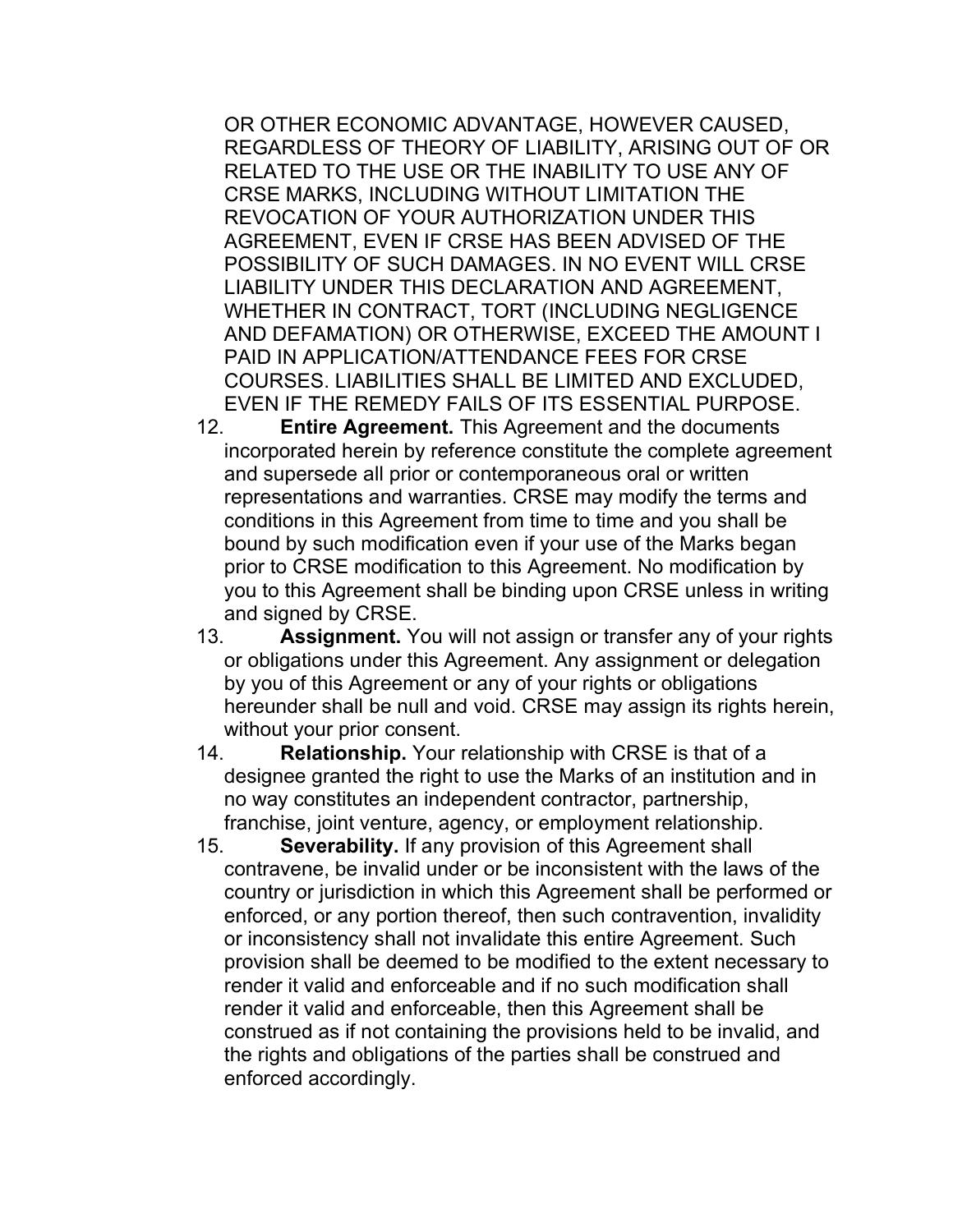OR OTHER ECONOMIC ADVANTAGE, HOWEVER CAUSED, REGARDLESS OF THEORY OF LIABILITY, ARISING OUT OF OR RELATED TO THE USE OR THE INABILITY TO USE ANY OF CRSE MARKS, INCLUDING WITHOUT LIMITATION THE REVOCATION OF YOUR AUTHORIZATION UNDER THIS AGREEMENT, EVEN IF CRSE HAS BEEN ADVISED OF THE POSSIBILITY OF SUCH DAMAGES. IN NO EVENT WILL CRSE LIABILITY UNDER THIS DECLARATION AND AGREEMENT, WHETHER IN CONTRACT, TORT (INCLUDING NEGLIGENCE AND DEFAMATION) OR OTHERWISE, EXCEED THE AMOUNT I PAID IN APPLICATION/ATTENDANCE FEES FOR CRSE COURSES. LIABILITIES SHALL BE LIMITED AND EXCLUDED, EVEN IF THE REMEDY FAILS OF ITS ESSENTIAL PURPOSE.

- 12. **Entire Agreement.** This Agreement and the documents incorporated herein by reference constitute the complete agreement and supersede all prior or contemporaneous oral or written representations and warranties. CRSE may modify the terms and conditions in this Agreement from time to time and you shall be bound by such modification even if your use of the Marks began prior to CRSE modification to this Agreement. No modification by you to this Agreement shall be binding upon CRSE unless in writing and signed by CRSE.
- 13. **Assignment.** You will not assign or transfer any of your rights or obligations under this Agreement. Any assignment or delegation by you of this Agreement or any of your rights or obligations hereunder shall be null and void. CRSE may assign its rights herein, without your prior consent.
- 14. **Relationship.** Your relationship with CRSE is that of a designee granted the right to use the Marks of an institution and in no way constitutes an independent contractor, partnership, franchise, joint venture, agency, or employment relationship.
- 15. **Severability.** If any provision of this Agreement shall contravene, be invalid under or be inconsistent with the laws of the country or jurisdiction in which this Agreement shall be performed or enforced, or any portion thereof, then such contravention, invalidity or inconsistency shall not invalidate this entire Agreement. Such provision shall be deemed to be modified to the extent necessary to render it valid and enforceable and if no such modification shall render it valid and enforceable, then this Agreement shall be construed as if not containing the provisions held to be invalid, and the rights and obligations of the parties shall be construed and enforced accordingly.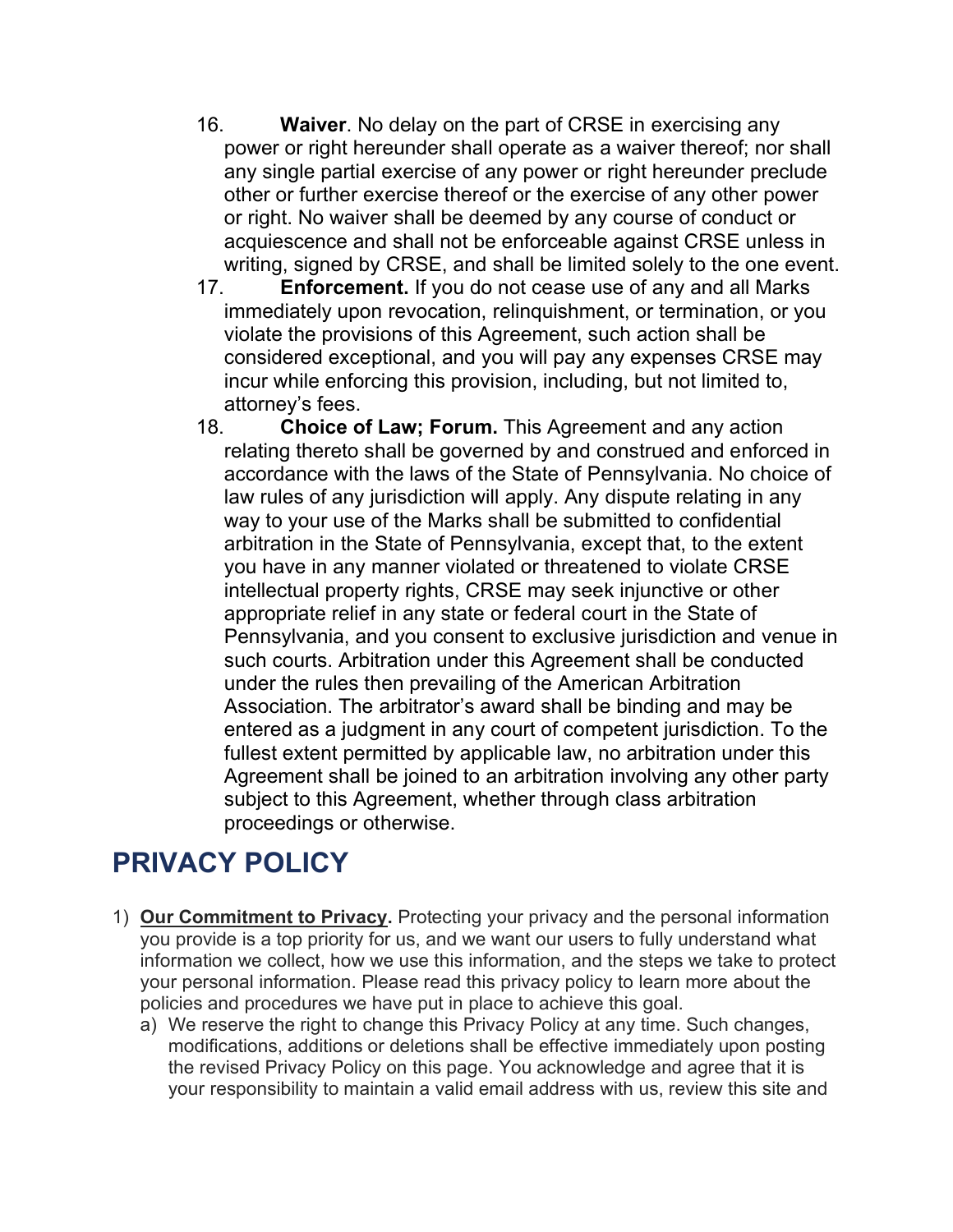- 16. **Waiver**. No delay on the part of CRSE in exercising any power or right hereunder shall operate as a waiver thereof; nor shall any single partial exercise of any power or right hereunder preclude other or further exercise thereof or the exercise of any other power or right. No waiver shall be deemed by any course of conduct or acquiescence and shall not be enforceable against CRSE unless in writing, signed by CRSE, and shall be limited solely to the one event.
- 17. **Enforcement.** If you do not cease use of any and all Marks immediately upon revocation, relinquishment, or termination, or you violate the provisions of this Agreement, such action shall be considered exceptional, and you will pay any expenses CRSE may incur while enforcing this provision, including, but not limited to, attorney's fees.
- 18. **Choice of Law; Forum.** This Agreement and any action relating thereto shall be governed by and construed and enforced in accordance with the laws of the State of Pennsylvania. No choice of law rules of any jurisdiction will apply. Any dispute relating in any way to your use of the Marks shall be submitted to confidential arbitration in the State of Pennsylvania, except that, to the extent you have in any manner violated or threatened to violate CRSE intellectual property rights, CRSE may seek injunctive or other appropriate relief in any state or federal court in the State of Pennsylvania, and you consent to exclusive jurisdiction and venue in such courts. Arbitration under this Agreement shall be conducted under the rules then prevailing of the American Arbitration Association. The arbitrator's award shall be binding and may be entered as a judgment in any court of competent jurisdiction. To the fullest extent permitted by applicable law, no arbitration under this Agreement shall be joined to an arbitration involving any other party subject to this Agreement, whether through class arbitration proceedings or otherwise.

# **PRIVACY POLICY**

- 1) **Our Commitment to Privacy.** Protecting your privacy and the personal information you provide is a top priority for us, and we want our users to fully understand what information we collect, how we use this information, and the steps we take to protect your personal information. Please read this privacy policy to learn more about the policies and procedures we have put in place to achieve this goal.
	- a) We reserve the right to change this Privacy Policy at any time. Such changes, modifications, additions or deletions shall be effective immediately upon posting the revised Privacy Policy on this page. You acknowledge and agree that it is your responsibility to maintain a valid email address with us, review this site and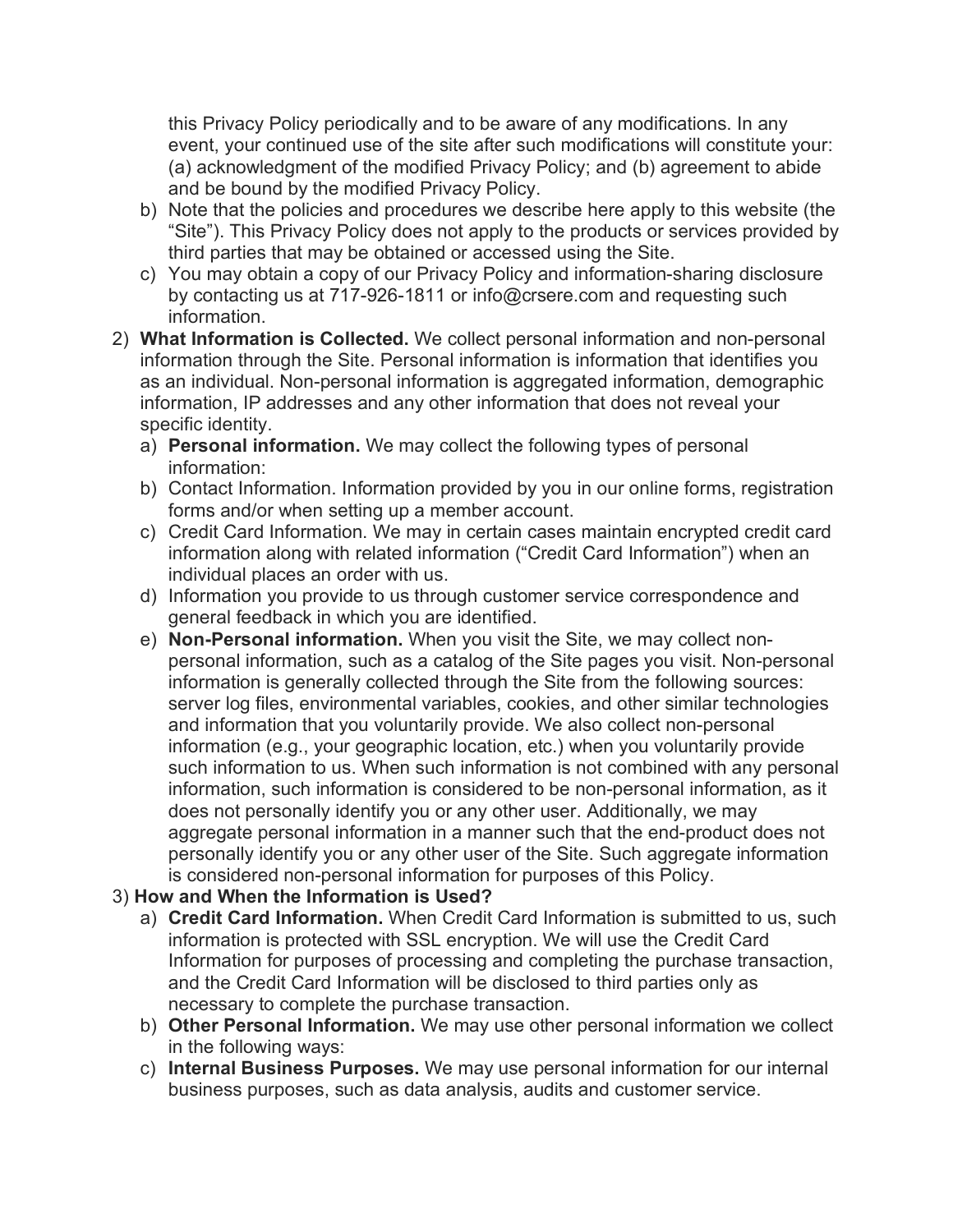this Privacy Policy periodically and to be aware of any modifications. In any event, your continued use of the site after such modifications will constitute your: (a) acknowledgment of the modified Privacy Policy; and (b) agreement to abide and be bound by the modified Privacy Policy.

- b) Note that the policies and procedures we describe here apply to this website (the "Site"). This Privacy Policy does not apply to the products or services provided by third parties that may be obtained or accessed using the Site.
- c) You may obtain a copy of our Privacy Policy and information-sharing disclosure by contacting us at 717-926-1811 or info@crsere.com and requesting such information.
- 2) **What Information is Collected.** We collect personal information and non-personal information through the Site. Personal information is information that identifies you as an individual. Non-personal information is aggregated information, demographic information, IP addresses and any other information that does not reveal your specific identity.
	- a) **Personal information.** We may collect the following types of personal information:
	- b) Contact Information. Information provided by you in our online forms, registration forms and/or when setting up a member account.
	- c) Credit Card Information. We may in certain cases maintain encrypted credit card information along with related information ("Credit Card Information") when an individual places an order with us.
	- d) Information you provide to us through customer service correspondence and general feedback in which you are identified.
	- e) **Non-Personal information.** When you visit the Site, we may collect nonpersonal information, such as a catalog of the Site pages you visit. Non-personal information is generally collected through the Site from the following sources: server log files, environmental variables, cookies, and other similar technologies and information that you voluntarily provide. We also collect non-personal information (e.g., your geographic location, etc.) when you voluntarily provide such information to us. When such information is not combined with any personal information, such information is considered to be non-personal information, as it does not personally identify you or any other user. Additionally, we may aggregate personal information in a manner such that the end-product does not personally identify you or any other user of the Site. Such aggregate information is considered non-personal information for purposes of this Policy.

### 3) **How and When the Information is Used?**

- a) **Credit Card Information.** When Credit Card Information is submitted to us, such information is protected with SSL encryption. We will use the Credit Card Information for purposes of processing and completing the purchase transaction, and the Credit Card Information will be disclosed to third parties only as necessary to complete the purchase transaction.
- b) **Other Personal Information.** We may use other personal information we collect in the following ways:
- c) **Internal Business Purposes.** We may use personal information for our internal business purposes, such as data analysis, audits and customer service.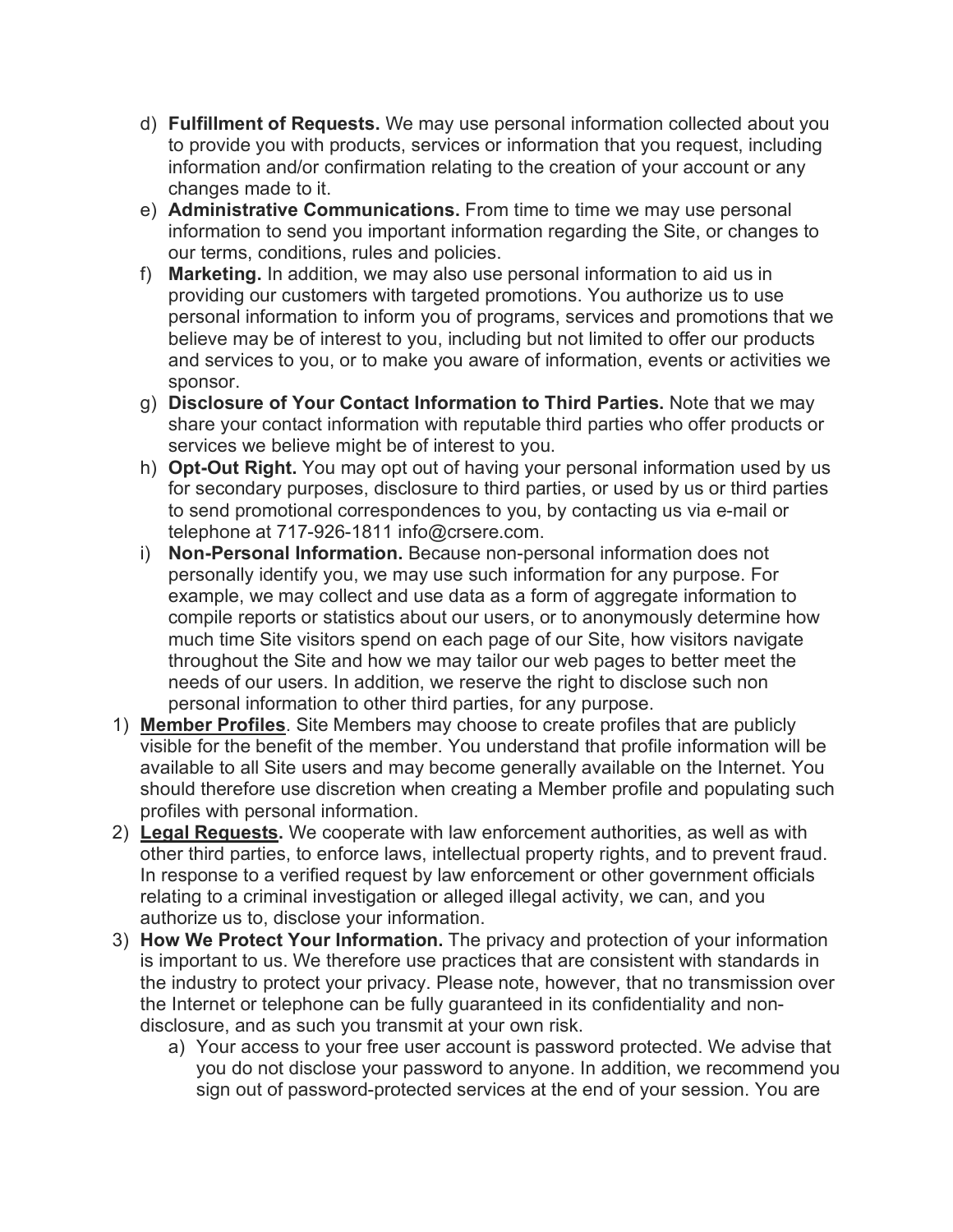- d) **Fulfillment of Requests.** We may use personal information collected about you to provide you with products, services or information that you request, including information and/or confirmation relating to the creation of your account or any changes made to it.
- e) **Administrative Communications.** From time to time we may use personal information to send you important information regarding the Site, or changes to our terms, conditions, rules and policies.
- f) **Marketing.** In addition, we may also use personal information to aid us in providing our customers with targeted promotions. You authorize us to use personal information to inform you of programs, services and promotions that we believe may be of interest to you, including but not limited to offer our products and services to you, or to make you aware of information, events or activities we sponsor.
- g) **Disclosure of Your Contact Information to Third Parties.** Note that we may share your contact information with reputable third parties who offer products or services we believe might be of interest to you.
- h) **Opt-Out Right.** You may opt out of having your personal information used by us for secondary purposes, disclosure to third parties, or used by us or third parties to send promotional correspondences to you, by contacting us via e-mail or telephone at 717-926-1811 info@crsere.com.
- i) **Non-Personal Information.** Because non-personal information does not personally identify you, we may use such information for any purpose. For example, we may collect and use data as a form of aggregate information to compile reports or statistics about our users, or to anonymously determine how much time Site visitors spend on each page of our Site, how visitors navigate throughout the Site and how we may tailor our web pages to better meet the needs of our users. In addition, we reserve the right to disclose such non personal information to other third parties, for any purpose.
- 1) **Member Profiles**. Site Members may choose to create profiles that are publicly visible for the benefit of the member. You understand that profile information will be available to all Site users and may become generally available on the Internet. You should therefore use discretion when creating a Member profile and populating such profiles with personal information.
- 2) **Legal Requests.** We cooperate with law enforcement authorities, as well as with other third parties, to enforce laws, intellectual property rights, and to prevent fraud. In response to a verified request by law enforcement or other government officials relating to a criminal investigation or alleged illegal activity, we can, and you authorize us to, disclose your information.
- 3) **How We Protect Your Information.** The privacy and protection of your information is important to us. We therefore use practices that are consistent with standards in the industry to protect your privacy. Please note, however, that no transmission over the Internet or telephone can be fully guaranteed in its confidentiality and nondisclosure, and as such you transmit at your own risk.
	- a) Your access to your free user account is password protected. We advise that you do not disclose your password to anyone. In addition, we recommend you sign out of password-protected services at the end of your session. You are